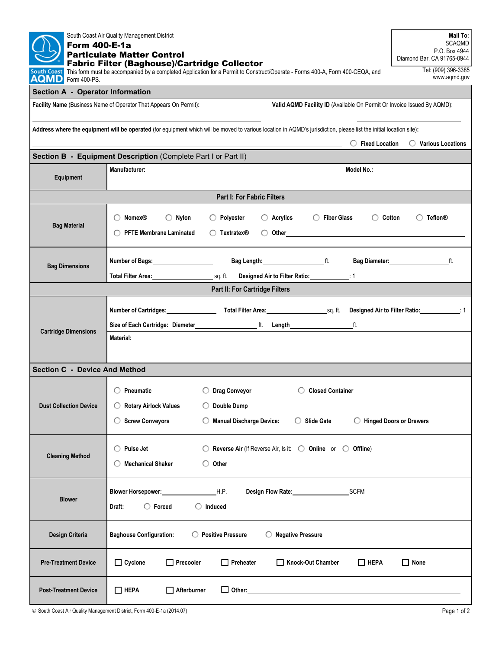| South Coast Air Quality Management District<br><b>Form 400-E-1a</b><br><b>Particulate Matter Control</b>                                                                                                                                 | Mail To:<br><b>SCAQMD</b><br>P.O. Box 4944<br>Diamond Bar, CA 91765-0944                                                                                                                                                                                                    |                                  |  |  |  |  |  |
|------------------------------------------------------------------------------------------------------------------------------------------------------------------------------------------------------------------------------------------|-----------------------------------------------------------------------------------------------------------------------------------------------------------------------------------------------------------------------------------------------------------------------------|----------------------------------|--|--|--|--|--|
| <b>Fabric Filter (Baghouse)/Cartridge Collector</b><br>This form must be accompanied by a completed Application for a Permit to Construct/Operate - Forms 400-A, Form 400-CEQA, and<br><b>South Coast</b><br><b>AQMD</b><br>Form 400-PS. | Tel: (909) 396-3385<br>www.aqmd.gov                                                                                                                                                                                                                                         |                                  |  |  |  |  |  |
| <b>Section A - Operator Information</b>                                                                                                                                                                                                  |                                                                                                                                                                                                                                                                             |                                  |  |  |  |  |  |
| Facility Name (Business Name of Operator That Appears On Permit):<br>Valid AQMD Facility ID (Available On Permit Or Invoice Issued By AQMD):                                                                                             |                                                                                                                                                                                                                                                                             |                                  |  |  |  |  |  |
|                                                                                                                                                                                                                                          |                                                                                                                                                                                                                                                                             |                                  |  |  |  |  |  |
| Address where the equipment will be operated (for equipment which will be moved to various location in AQMD's jurisdiction, please list the initial location site):                                                                      |                                                                                                                                                                                                                                                                             |                                  |  |  |  |  |  |
| $\bigcirc$ Fixed Location<br>$\bigcirc$ Various Locations<br>Section B - Equipment Description (Complete Part I or Part II)                                                                                                              |                                                                                                                                                                                                                                                                             |                                  |  |  |  |  |  |
| Equipment                                                                                                                                                                                                                                | Manufacturer:<br>Model No.:                                                                                                                                                                                                                                                 |                                  |  |  |  |  |  |
| <b>Part I: For Fabric Filters</b>                                                                                                                                                                                                        |                                                                                                                                                                                                                                                                             |                                  |  |  |  |  |  |
| <b>Bag Material</b>                                                                                                                                                                                                                      | $\bigcirc$ Nylon<br>$\bigcirc$ Acrylics<br>◯ Fiber Glass<br>$\bigcirc$ Cotton<br>$\bigcirc$ Nomex <sup>®</sup><br>$\bigcirc$ Polyester<br><b>O</b> PFTE Membrane Laminated<br>$\bigcirc$ Other contracts to the contract of $\bigcirc$<br>$\bigcirc$ Textratex <sup>®</sup> | $\bigcirc$ Teflon $\otimes$      |  |  |  |  |  |
| <b>Bag Dimensions</b>                                                                                                                                                                                                                    | Number of Bags:____________________<br>Total Filter Area: 11 Concernsion Control and Sq. ft. Contract Air to Filter Ratio: 2008. [16] Total Air to Filter Ratio:                                                                                                            | Bag Diameter: http://www.ft.com/ |  |  |  |  |  |
|                                                                                                                                                                                                                                          | Part II: For Cartridge Filters                                                                                                                                                                                                                                              |                                  |  |  |  |  |  |
| <b>Cartridge Dimensions</b>                                                                                                                                                                                                              | Material:                                                                                                                                                                                                                                                                   |                                  |  |  |  |  |  |
| <b>Section C - Device And Method</b>                                                                                                                                                                                                     |                                                                                                                                                                                                                                                                             |                                  |  |  |  |  |  |
| <b>Dust Collection Device</b>                                                                                                                                                                                                            | ◯ Drag Conveyor<br>◯ Closed Container<br>$\bigcirc$ Pneumatic<br>◯ Double Dump<br>◯ Rotary Airlock Values<br><b>Screw Conveyors</b><br><b>Manual Discharge Device:</b><br><b>Slide Gate</b><br>O.<br>O<br>$\bigcirc$                                                        | <b>Hinged Doors or Drawers</b>   |  |  |  |  |  |
| <b>Cleaning Method</b>                                                                                                                                                                                                                   | $\bigcirc$ Pulse Jet<br>$\bigcirc$ Reverse Air (If Reverse Air, Is it: $\bigcirc$ Online or $\bigcirc$ Offline)<br><b>Mechanical Shaker</b><br>$\bigcirc$ Other contracts to the contract of $\bigcirc$ other contracts to $\bigcirc$ other contracts to $\bigcirc$         |                                  |  |  |  |  |  |
| <b>Blower</b>                                                                                                                                                                                                                            | Blower Horsepower: H.P.<br>Design Flow Rate: SCFM<br>$\bigcirc$ Forced<br>$\bigcirc$ Induced<br>Draft:                                                                                                                                                                      |                                  |  |  |  |  |  |
| Design Criteria                                                                                                                                                                                                                          | <b>Baghouse Configuration:</b><br>◯ Positive Pressure<br><b>Negative Pressure</b>                                                                                                                                                                                           |                                  |  |  |  |  |  |
| <b>Pre-Treatment Device</b>                                                                                                                                                                                                              | $\Box$ Cyclone<br>$\Box$ Precooler<br>$\Box$ Preheater<br>Knock-Out Chamber<br>$\Box$ HEPA                                                                                                                                                                                  | $\Box$ None                      |  |  |  |  |  |
| <b>Post-Treatment Device</b>                                                                                                                                                                                                             | $\square$ HEPA<br>$\Box$ Afterburner<br>Other: 0ther:                                                                                                                                                                                                                       |                                  |  |  |  |  |  |